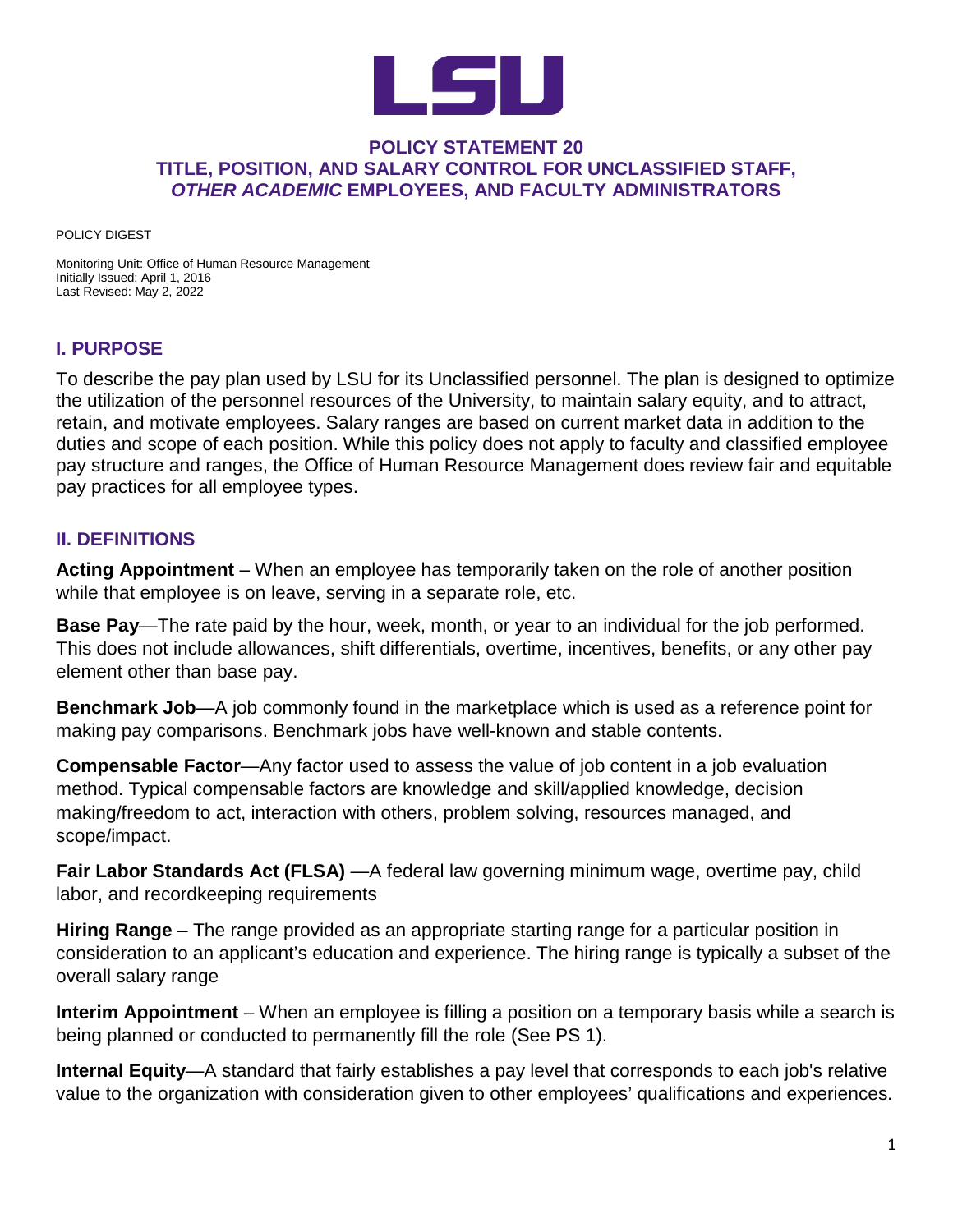

#### **POLICY STATEMENT 20 TITLE, POSITION, AND SALARY CONTROL FOR UNCLASSIFIED STAFF,** *OTHER ACADEMIC* **EMPLOYEES, AND FACULTY ADMINISTRATORS**

POLICY DIGEST

Monitoring Unit: Office of Human Resource Management Initially Issued: April 1, 2016 Last Revised: May 2, 2022

## **I. PURPOSE**

To describe the pay plan used by LSU for its Unclassified personnel. The plan is designed to optimize the utilization of the personnel resources of the University, to maintain salary equity, and to attract, retain, and motivate employees. Salary ranges are based on current market data in addition to the duties and scope of each position. While this policy does not apply to faculty and classified employee pay structure and ranges, the Office of Human Resource Management does review fair and equitable pay practices for all employee types.

## **II. DEFINITIONS**

**Acting Appointment** – When an employee has temporarily taken on the role of another position while that employee is on leave, serving in a separate role, etc.

**Base Pay**—The rate paid by the hour, week, month, or year to an individual for the job performed. This does not include allowances, shift differentials, overtime, incentives, benefits, or any other pay element other than base pay.

**Benchmark Job**—A job commonly found in the marketplace which is used as a reference point for making pay comparisons. Benchmark jobs have well-known and stable contents.

**Compensable Factor**—Any factor used to assess the value of job content in a job evaluation method. Typical compensable factors are knowledge and skill/applied knowledge, decision making/freedom to act, interaction with others, problem solving, resources managed, and scope/impact.

**[Fair Labor Standards Act](https://www.dol.gov/agencies/whd/flsa) (FLSA)** —A federal law governing minimum wage, overtime pay, child labor, and recordkeeping requirements

**Hiring Range** – The range provided as an appropriate starting range for a particular position in consideration to an applicant's education and experience. The hiring range is typically a subset of the overall salary range

**Interim Appointment** – When an employee is filling a position on a temporary basis while a search is being planned or conducted to permanently fill the role (See PS 1).

**Internal Equity**—A standard that fairly establishes a pay level that corresponds to each job's relative value to the organization with consideration given to other employees' qualifications and experiences.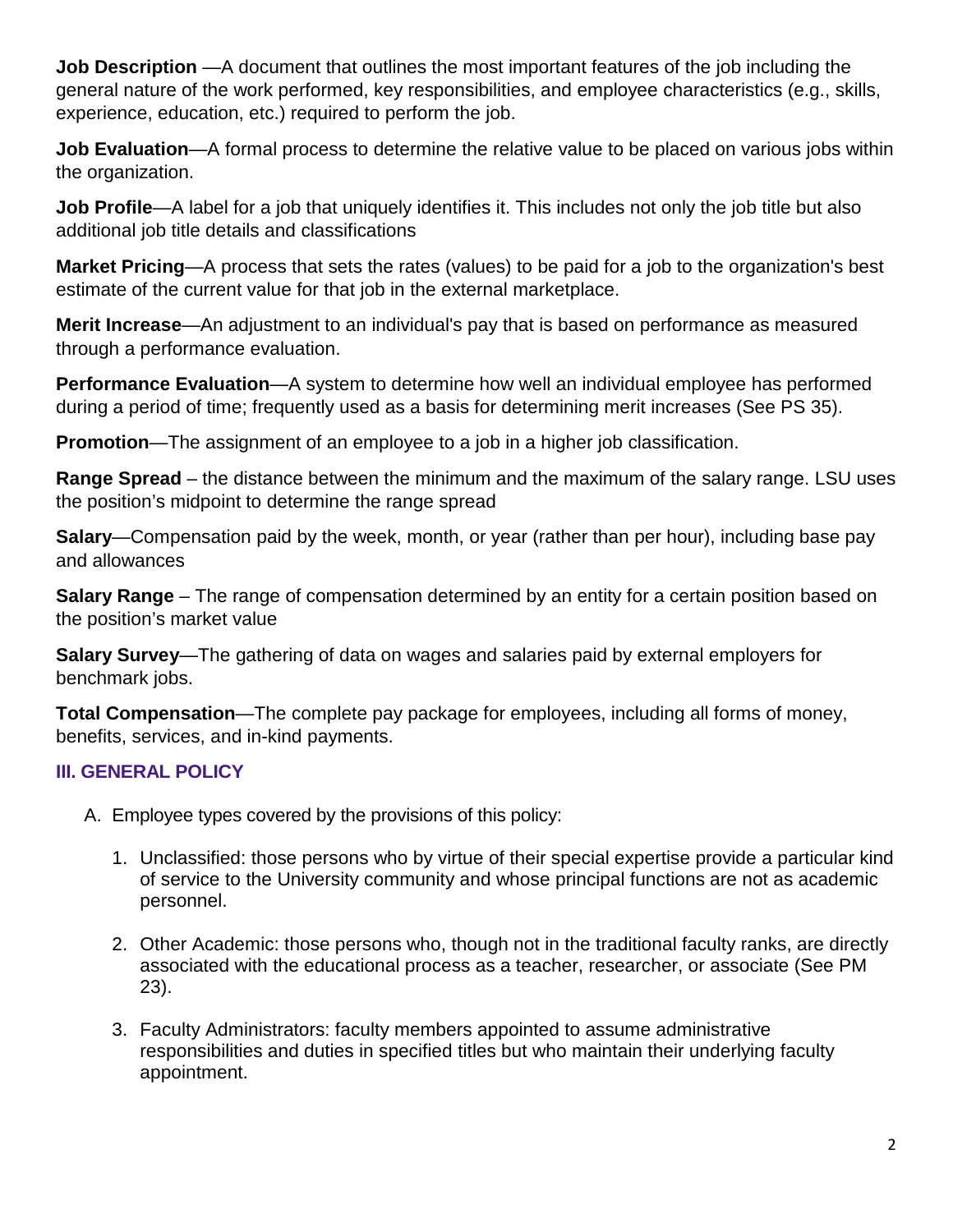**Job Description** —A document that outlines the most important features of the job including the general nature of the work performed, key responsibilities, and employee characteristics (e.g., skills, experience, education, etc.) required to perform the job.

**Job Evaluation**—A formal process to determine the relative value to be placed on various jobs within the organization.

**Job Profile**—A label for a job that uniquely identifies it. This includes not only the job title but also additional job title details and classifications

**Market Pricing**—A process that sets the rates (values) to be paid for a job to the organization's best estimate of the current value for that job in the external marketplace.

**Merit Increase**—An adjustment to an individual's pay that is based on performance as measured through a performance evaluation.

**Performance Evaluation**—A system to determine how well an individual employee has performed during a period of time; frequently used as a basis for determining merit increases (See PS 35).

**Promotion—The assignment of an employee to a job in a higher job classification.** 

**Range Spread** – the distance between the minimum and the maximum of the salary range. LSU uses the position's midpoint to determine the range spread

**Salary**—Compensation paid by the week, month, or year (rather than per hour), including base pay and allowances

**Salary Range** – The range of compensation determined by an entity for a certain position based on the position's market value

**Salary Survey**—The gathering of data on wages and salaries paid by external employers for benchmark jobs.

**Total Compensation**—The complete pay package for employees, including all forms of money, benefits, services, and in-kind payments.

# **III. GENERAL POLICY**

- A. Employee types covered by the provisions of this policy:
	- 1. Unclassified: those persons who by virtue of their special expertise provide a particular kind of service to the University community and whose principal functions are not as academic personnel.
	- 2. Other Academic: those persons who, though not in the traditional faculty ranks, are directly associated with the educational process as a teacher, researcher, or associate (See PM 23).
	- 3. Faculty Administrators: faculty members appointed to assume administrative responsibilities and duties in specified titles but who maintain their underlying faculty appointment.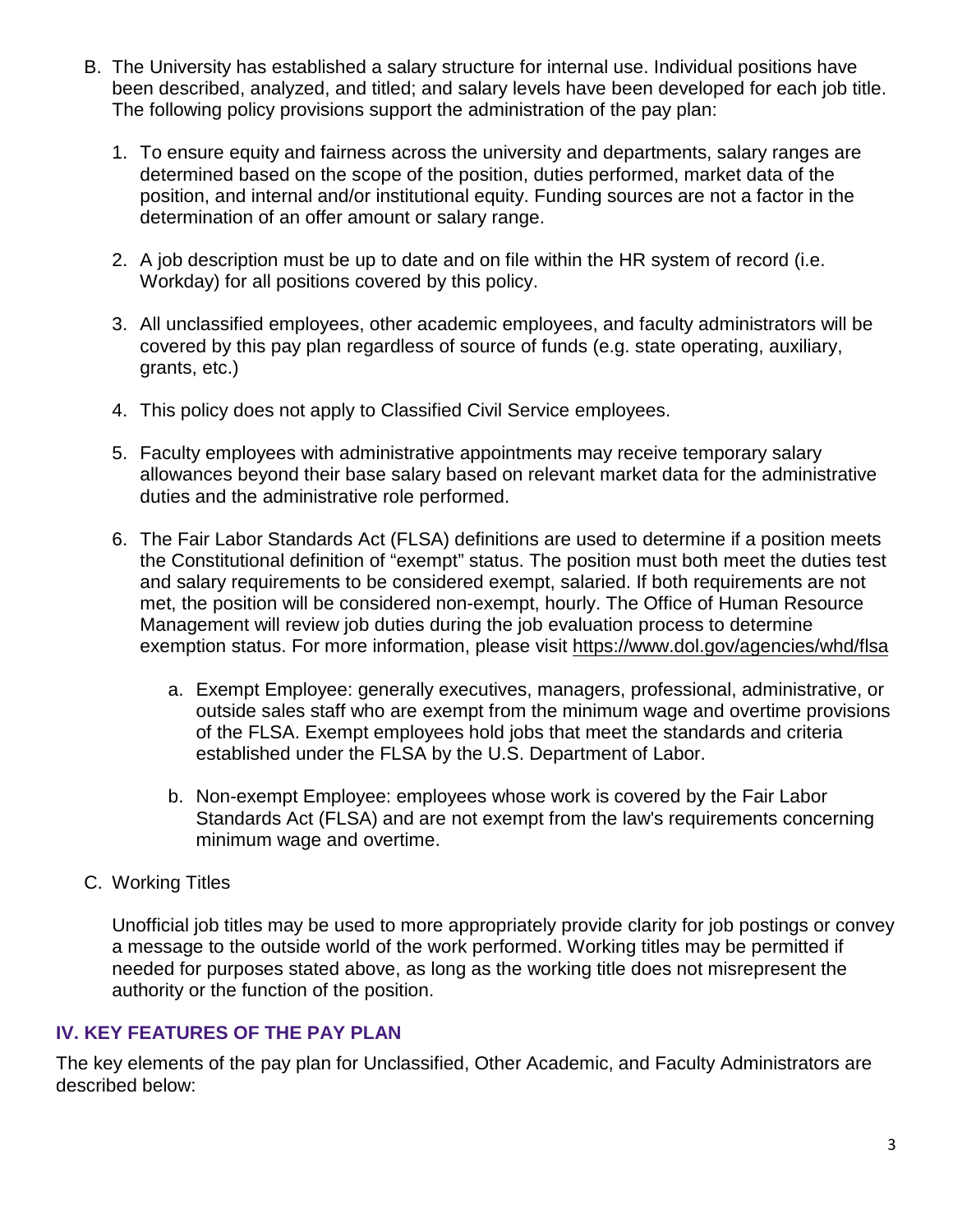- B. The University has established a salary structure for internal use. Individual positions have been described, analyzed, and titled; and salary levels have been developed for each job title. The following policy provisions support the administration of the pay plan:
	- 1. To ensure equity and fairness across the university and departments, salary ranges are determined based on the scope of the position, duties performed, market data of the position, and internal and/or institutional equity. Funding sources are not a factor in the determination of an offer amount or salary range.
	- 2. A job description must be up to date and on file within the HR system of record (i.e. Workday) for all positions covered by this policy.
	- 3. All unclassified employees, other academic employees, and faculty administrators will be covered by this pay plan regardless of source of funds (e.g. state operating, auxiliary, grants, etc.)
	- 4. This policy does not apply to Classified Civil Service employees.
	- 5. Faculty employees with administrative appointments may receive temporary salary allowances beyond their base salary based on relevant market data for the administrative duties and the administrative role performed.
	- 6. The Fair Labor Standards Act (FLSA) definitions are used to determine if a position meets the Constitutional definition of "exempt" status. The position must both meet the duties test and salary requirements to be considered exempt, salaried. If both requirements are not met, the position will be considered non-exempt, hourly. The Office of Human Resource Management will review job duties during the job evaluation process to determine exemption status. For more information, please visit<https://www.dol.gov/agencies/whd/flsa>
		- a. Exempt Employee: generally executives, managers, professional, administrative, or outside sales staff who are exempt from the minimum wage and overtime provisions of the FLSA. Exempt employees hold jobs that meet the standards and criteria established under the FLSA by the U.S. Department of Labor.
		- b. Non-exempt Employee: employees whose work is covered by the Fair Labor Standards Act (FLSA) and are not exempt from the law's requirements concerning minimum wage and overtime.
- C. Working Titles

Unofficial job titles may be used to more appropriately provide clarity for job postings or convey a message to the outside world of the work performed. Working titles may be permitted if needed for purposes stated above, as long as the working title does not misrepresent the authority or the function of the position.

# **IV. KEY FEATURES OF THE PAY PLAN**

The key elements of the pay plan for Unclassified, Other Academic, and Faculty Administrators are described below: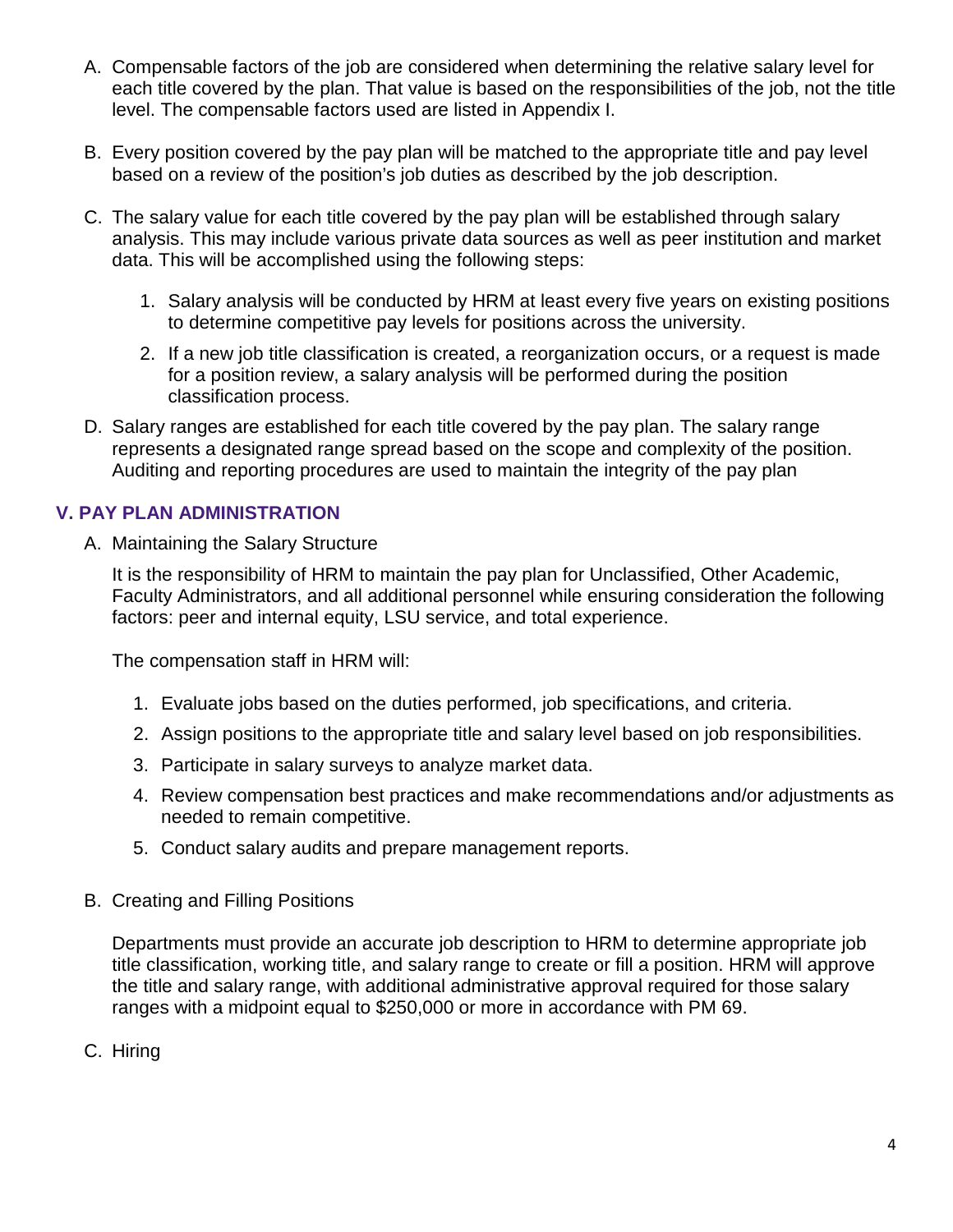- A. Compensable factors of the job are considered when determining the relative salary level for each title covered by the plan. That value is based on the responsibilities of the job, not the title level. The compensable factors used are listed in Appendix I.
- B. Every position covered by the pay plan will be matched to the appropriate title and pay level based on a review of the position's job duties as described by the job description.
- C. The salary value for each title covered by the pay plan will be established through salary analysis. This may include various private data sources as well as peer institution and market data. This will be accomplished using the following steps:
	- 1. Salary analysis will be conducted by HRM at least every five years on existing positions to determine competitive pay levels for positions across the university.
	- 2. If a new job title classification is created, a reorganization occurs, or a request is made for a position review, a salary analysis will be performed during the position classification process.
- D. Salary ranges are established for each title covered by the pay plan. The salary range represents a designated range spread based on the scope and complexity of the position. Auditing and reporting procedures are used to maintain the integrity of the pay plan

# **V. PAY PLAN ADMINISTRATION**

A. Maintaining the Salary Structure

It is the responsibility of HRM to maintain the pay plan for Unclassified, Other Academic, Faculty Administrators, and all additional personnel while ensuring consideration the following factors: peer and internal equity, LSU service, and total experience.

The compensation staff in HRM will:

- 1. Evaluate jobs based on the duties performed, job specifications, and criteria.
- 2. Assign positions to the appropriate title and salary level based on job responsibilities.
- 3. Participate in salary surveys to analyze market data.
- 4. Review compensation best practices and make recommendations and/or adjustments as needed to remain competitive.
- 5. Conduct salary audits and prepare management reports.
- B. Creating and Filling Positions

Departments must provide an accurate job description to HRM to determine appropriate job title classification, working title, and salary range to create or fill a position. HRM will approve the title and salary range, with additional administrative approval required for those salary ranges with a midpoint equal to \$250,000 or more in accordance with PM 69.

C. Hiring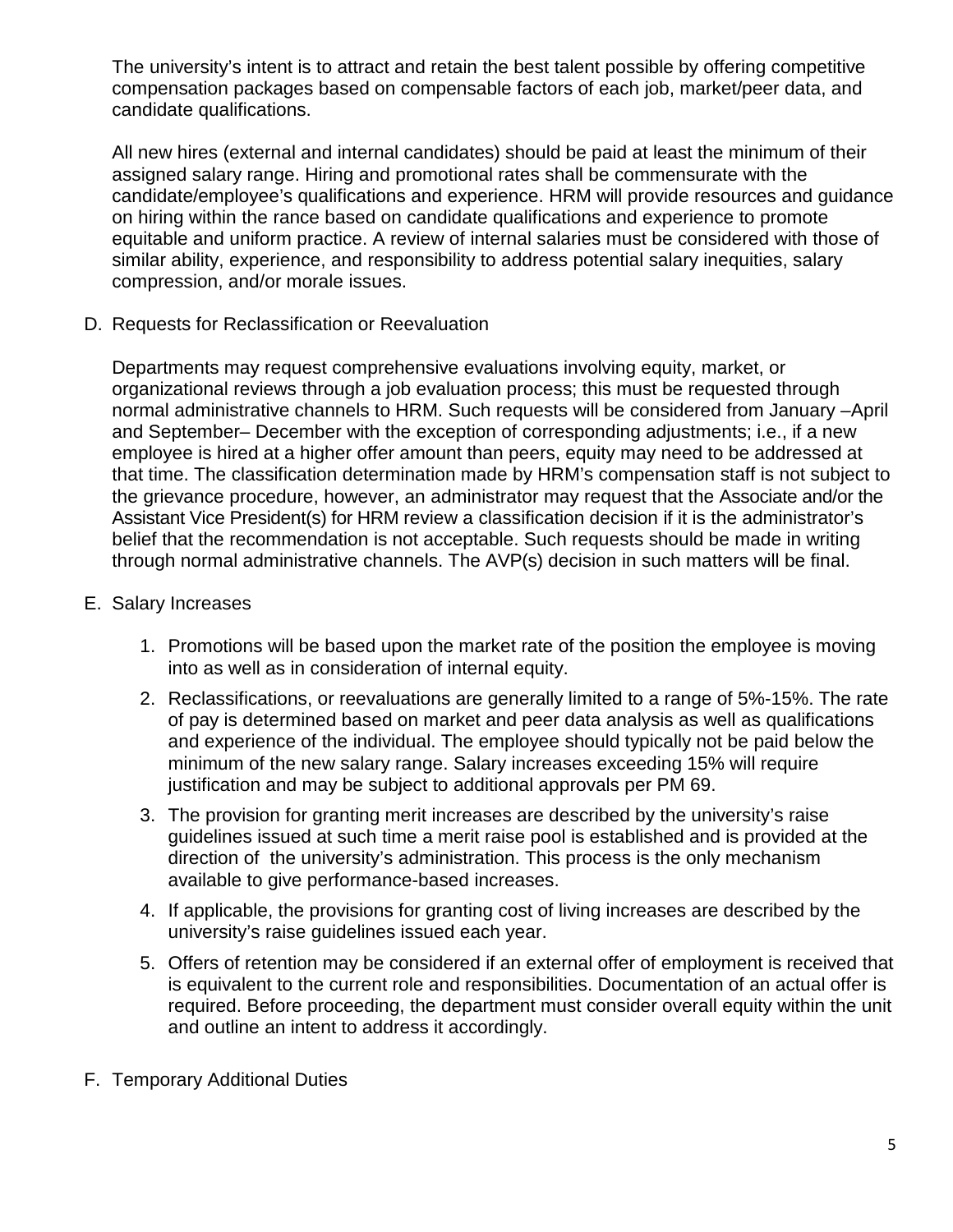The university's intent is to attract and retain the best talent possible by offering competitive compensation packages based on compensable factors of each job, market/peer data, and candidate qualifications.

All new hires (external and internal candidates) should be paid at least the minimum of their assigned salary range. Hiring and promotional rates shall be commensurate with the candidate/employee's qualifications and experience. HRM will provide resources and guidance on hiring within the rance based on candidate qualifications and experience to promote equitable and uniform practice. A review of internal salaries must be considered with those of similar ability, experience, and responsibility to address potential salary inequities, salary compression, and/or morale issues.

D. Requests for Reclassification or Reevaluation

Departments may request comprehensive evaluations involving equity, market, or organizational reviews through a job evaluation process; this must be requested through normal administrative channels to HRM. Such requests will be considered from January –April and September– December with the exception of corresponding adjustments; i.e., if a new employee is hired at a higher offer amount than peers, equity may need to be addressed at that time. The classification determination made by HRM's compensation staff is not subject to the grievance procedure, however, an administrator may request that the Associate and/or the Assistant Vice President(s) for HRM review a classification decision if it is the administrator's belief that the recommendation is not acceptable. Such requests should be made in writing through normal administrative channels. The AVP(s) decision in such matters will be final.

- E. Salary Increases
	- 1. Promotions will be based upon the market rate of the position the employee is moving into as well as in consideration of internal equity.
	- 2. Reclassifications, or reevaluations are generally limited to a range of 5%-15%. The rate of pay is determined based on market and peer data analysis as well as qualifications and experience of the individual. The employee should typically not be paid below the minimum of the new salary range. Salary increases exceeding 15% will require justification and may be subject to additional approvals per PM 69.
	- 3. The provision for granting merit increases are described by the university's raise guidelines issued at such time a merit raise pool is established and is provided at the direction of the university's administration. This process is the only mechanism available to give performance-based increases.
	- 4. If applicable, the provisions for granting cost of living increases are described by the university's raise guidelines issued each year.
	- 5. Offers of retention may be considered if an external offer of employment is received that is equivalent to the current role and responsibilities. Documentation of an actual offer is required. Before proceeding, the department must consider overall equity within the unit and outline an intent to address it accordingly.
- F. Temporary Additional Duties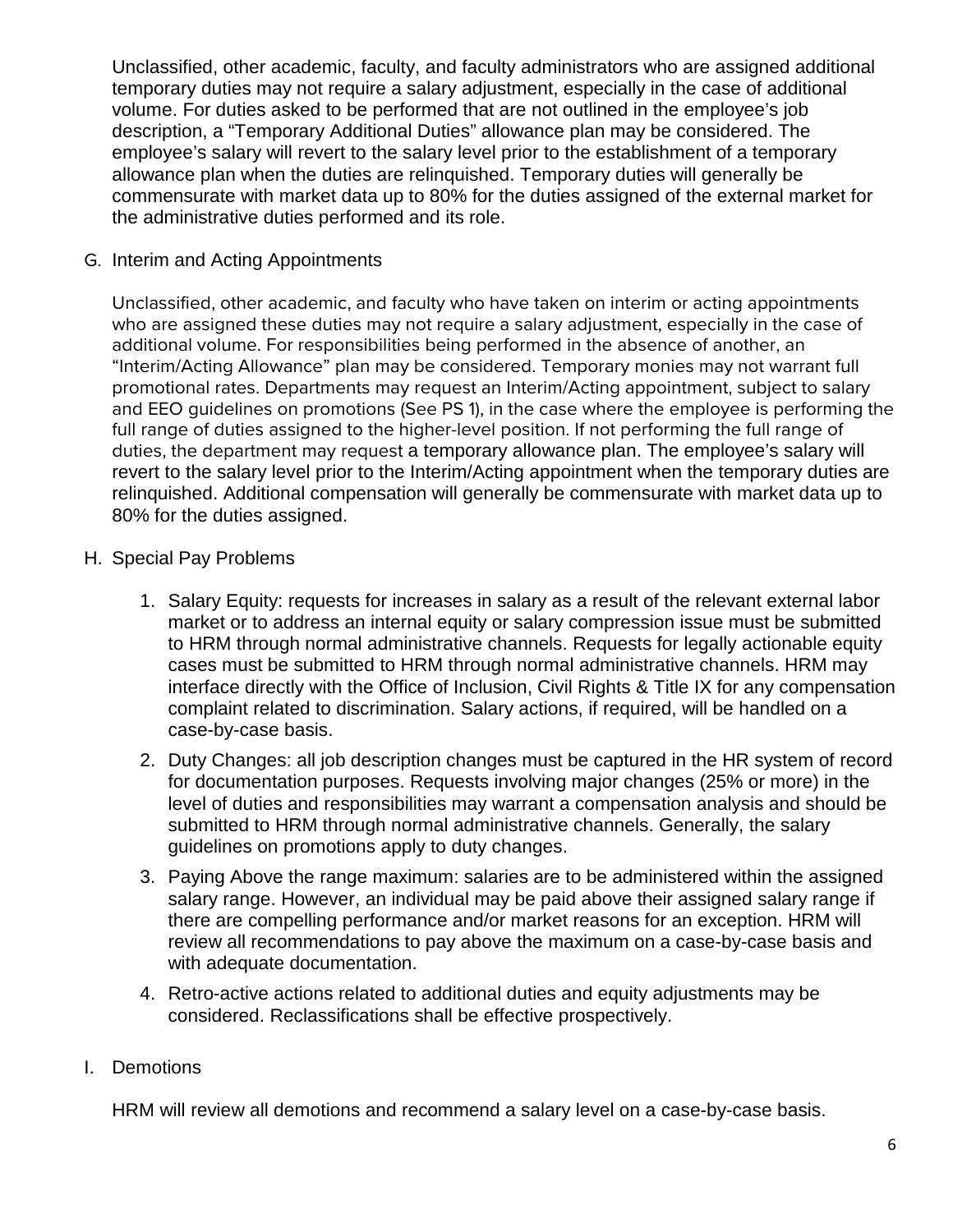Unclassified, other academic, faculty, and faculty administrators who are assigned additional temporary duties may not require a salary adjustment, especially in the case of additional volume. For duties asked to be performed that are not outlined in the employee's job description, a "Temporary Additional Duties" allowance plan may be considered. The employee's salary will revert to the salary level prior to the establishment of a temporary allowance plan when the duties are relinquished. Temporary duties will generally be commensurate with market data up to 80% for the duties assigned of the external market for the administrative duties performed and its role.

#### G. Interim and Acting Appointments

Unclassified, other academic, and faculty who have taken on interim or acting appointments who are assigned these duties may not require a salary adjustment, especially in the case of additional volume. For responsibilities being performed in the absence of another, an "Interim/Acting Allowance" plan may be considered. Temporary monies may not warrant full promotional rates. Departments may request an Interim/Acting appointment, subject to salary and EEO guidelines on promotions (See PS 1), in the case where the employee is performing the full range of duties assigned to the higher-level position. If not performing the full range of duties, the department may request a temporary allowance plan. The employee's salary will revert to the salary level prior to the Interim/Acting appointment when the temporary duties are relinquished. Additional compensation will generally be commensurate with market data up to 80% for the duties assigned.

## H. Special Pay Problems

- 1. Salary Equity: requests for increases in salary as a result of the relevant external labor market or to address an internal equity or salary compression issue must be submitted to HRM through normal administrative channels. Requests for legally actionable equity cases must be submitted to HRM through normal administrative channels. HRM may interface directly with the Office of Inclusion, Civil Rights & Title IX for any compensation complaint related to discrimination. Salary actions, if required, will be handled on a case-by-case basis.
- 2. Duty Changes: all job description changes must be captured in the HR system of record for documentation purposes. Requests involving major changes (25% or more) in the level of duties and responsibilities may warrant a compensation analysis and should be submitted to HRM through normal administrative channels. Generally, the salary guidelines on promotions apply to duty changes.
- 3. Paying Above the range maximum: salaries are to be administered within the assigned salary range. However, an individual may be paid above their assigned salary range if there are compelling performance and/or market reasons for an exception. HRM will review all recommendations to pay above the maximum on a case-by-case basis and with adequate documentation.
- 4. Retro-active actions related to additional duties and equity adjustments may be considered. Reclassifications shall be effective prospectively.

# I. Demotions

HRM will review all demotions and recommend a salary level on a case-by-case basis.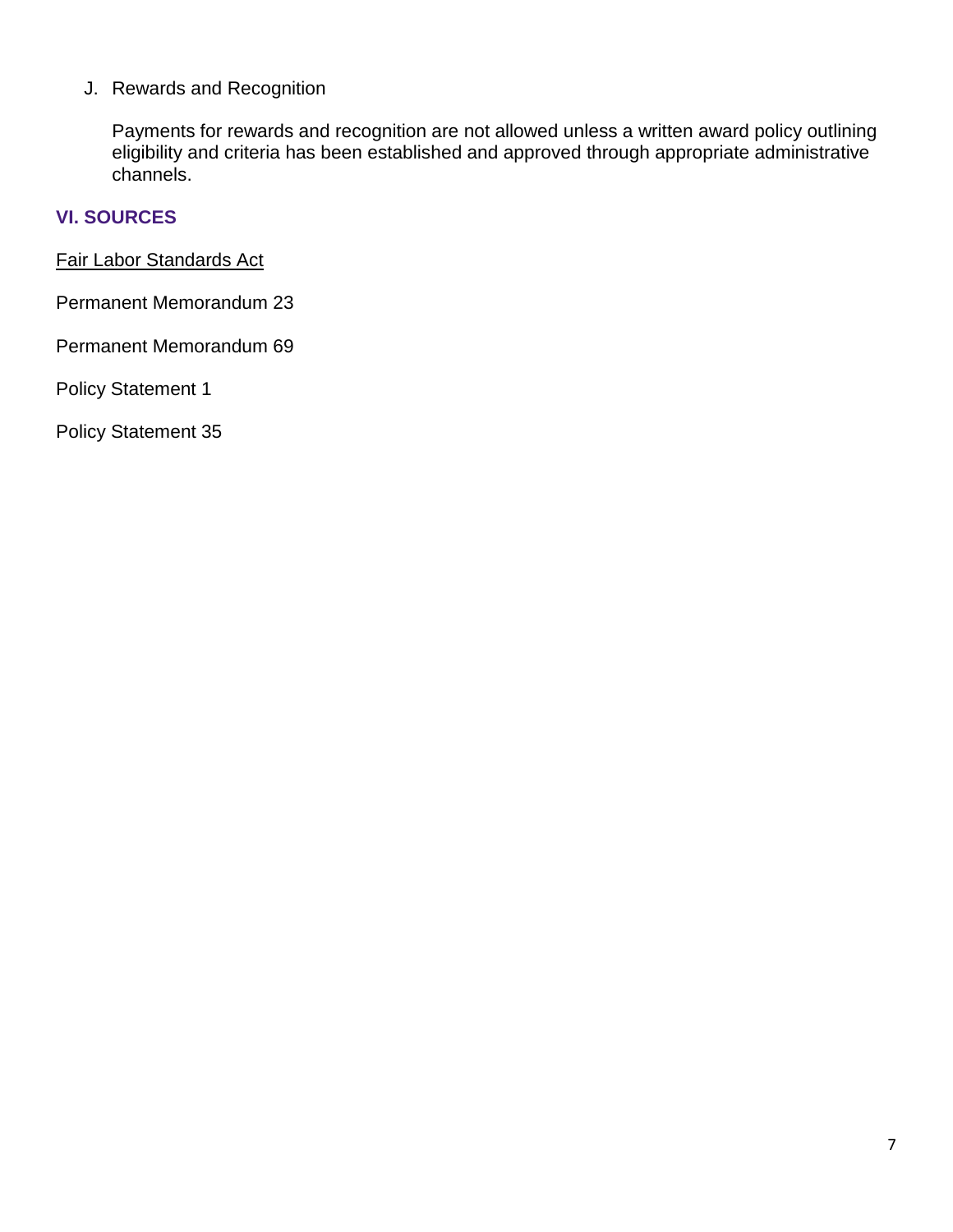J. Rewards and Recognition

Payments for rewards and recognition are not allowed unless a written award policy outlining eligibility and criteria has been established and approved through appropriate administrative channels.

#### **VI. SOURCES**

[Fair Labor Standards Act](https://www.dol.gov/agencies/whd/flsa)

Permanent Memorandum 23

Permanent Memorandum 69

Policy Statement 1

Policy Statement 35